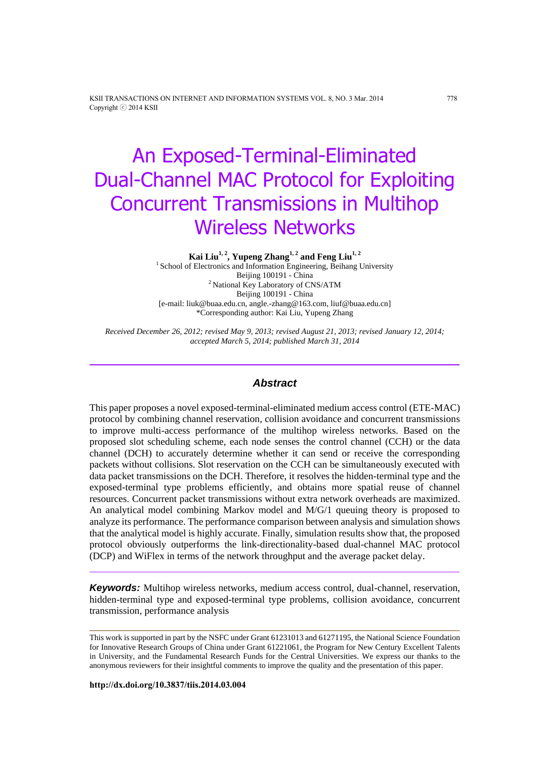KSII TRANSACTIONS ON INTERNET AND INFORMATION SYSTEMS VOL. 8, NO. 3 Mar. 2014 778 Copyright ⓒ 2014 KSII

# An Exposed-Terminal-Eliminated Dual-Channel MAC Protocol for Exploiting Concurrent Transmissions in Multihop Wireless Networks

**Kai Liu1, 2 , Yupeng Zhang1, 2 and Feng Liu1, 2**

<sup>1</sup> School of Electronics and Information Engineering, Beihang University Beijing 100191 - China <sup>2</sup> National Key Laboratory of CNS/ATM Beijing 100191 - China [e-mail: liuk@buaa.edu.cn, angle.-zhang@163.com, liuf@buaa.edu.cn] \*Corresponding author: Kai Liu, Yupeng Zhang

*Received December 26, 2012; revised May 9, 2013; revised August 21, 2013; revised January 12, 2014; accepted March 5, 2014; published March 31, 2014*

# *Abstract*

This paper proposes a novel exposed-terminal-eliminated medium access control (ETE-MAC) protocol by combining channel reservation, collision avoidance and concurrent transmissions to improve multi-access performance of the multihop wireless networks. Based on the proposed slot scheduling scheme, each node senses the control channel (CCH) or the data channel (DCH) to accurately determine whether it can send or receive the corresponding packets without collisions. Slot reservation on the CCH can be simultaneously executed with data packet transmissions on the DCH. Therefore, it resolves the hidden-terminal type and the exposed-terminal type problems efficiently, and obtains more spatial reuse of channel resources. Concurrent packet transmissions without extra network overheads are maximized. An analytical model combining Markov model and M/G/1 queuing theory is proposed to analyze its performance. The performance comparison between analysis and simulation shows that the analytical model is highly accurate. Finally, simulation results show that, the proposed protocol obviously outperforms the link-directionality-based dual-channel MAC protocol (DCP) and WiFlex in terms of the network throughput and the average packet delay.

*Keywords:* Multihop wireless networks, medium access control, dual-channel, reservation, hidden-terminal type and exposed-terminal type problems, collision avoidance, concurrent transmission, performance analysis

This work is supported in part by the NSFC under Grant 61231013 and 61271195, the National Science Foundation for Innovative Research Groups of China under Grant 61221061, the Program for New Century Excellent Talents in University, and the Fundamental Research Funds for the Central Universities. We express our thanks to the anonymous reviewers for their insightful comments to improve the quality and the presentation of this paper.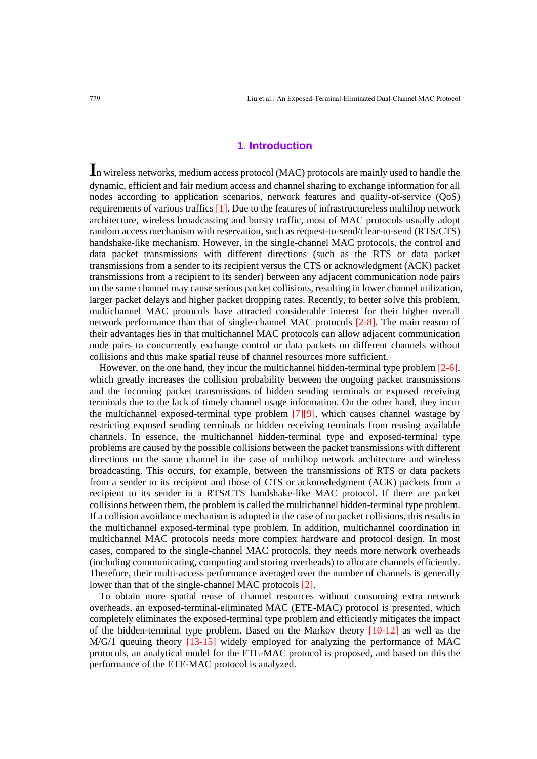# **1. Introduction**

**I**<sup>n</sup> wireless networks, medium access protocol (MAC) protocols are mainly used to handle the dynamic, efficient and fair medium access and channel sharing to exchange information for all nodes according to application scenarios, network features and quality-of-service (QoS) requirements of various traffics [1]. Due to the features of infrastructureless multihop network architecture, wireless broadcasting and bursty traffic, most of MAC protocols usually adopt random access mechanism with reservation, such as request-to-send/clear-to-send (RTS/CTS) handshake-like mechanism. However, in the single-channel MAC protocols, the control and data packet transmissions with different directions (such as the RTS or data packet transmissions from a sender to its recipient versus the CTS or acknowledgment (ACK) packet transmissions from a recipient to its sender) between any adjacent communication node pairs on the same channel may cause serious packet collisions, resulting in lower channel utilization, larger packet delays and higher packet dropping rates. Recently, to better solve this problem, multichannel MAC protocols have attracted considerable interest for their higher overall network performance than that of single-channel MAC protocols [2-8]. The main reason of their advantages lies in that multichannel MAC protocols can allow adjacent communication node pairs to concurrently exchange control or data packets on different channels without collisions and thus make spatial reuse of channel resources more sufficient.

However, on the one hand, they incur the multichannel hidden-terminal type problem [2-6], which greatly increases the collision probability between the ongoing packet transmissions and the incoming packet transmissions of hidden sending terminals or exposed receiving terminals due to the lack of timely channel usage information. On the other hand, they incur the multichannel exposed-terminal type problem [7][9], which causes channel wastage by restricting exposed sending terminals or hidden receiving terminals from reusing available channels. In essence, the multichannel hidden-terminal type and exposed-terminal type problems are caused by the possible collisions between the packet transmissions with different directions on the same channel in the case of multihop network architecture and wireless broadcasting. This occurs, for example, between the transmissions of RTS or data packets from a sender to its recipient and those of CTS or acknowledgment (ACK) packets from a recipient to its sender in a RTS/CTS handshake-like MAC protocol. If there are packet collisions between them, the problem is called the multichannel hidden-terminal type problem. If a collision avoidance mechanism is adopted in the case of no packet collisions, this results in the multichannel exposed-terminal type problem. In addition, multichannel coordination in multichannel MAC protocols needs more complex hardware and protocol design. In most cases, compared to the single-channel MAC protocols, they needs more network overheads (including communicating, computing and storing overheads) to allocate channels efficiently. Therefore, their multi-access performance averaged over the number of channels is generally lower than that of the single-channel MAC protocols [2].

To obtain more spatial reuse of channel resources without consuming extra network overheads, an exposed-terminal-eliminated MAC (ETE-MAC) protocol is presented, which completely eliminates the exposed-terminal type problem and efficiently mitigates the impact of the hidden-terminal type problem. Based on the Markov theory [10-12] as well as the M/G/1 queuing theory [13-15] widely employed for analyzing the performance of MAC protocols, an analytical model for the ETE-MAC protocol is proposed, and based on this the performance of the ETE-MAC protocol is analyzed.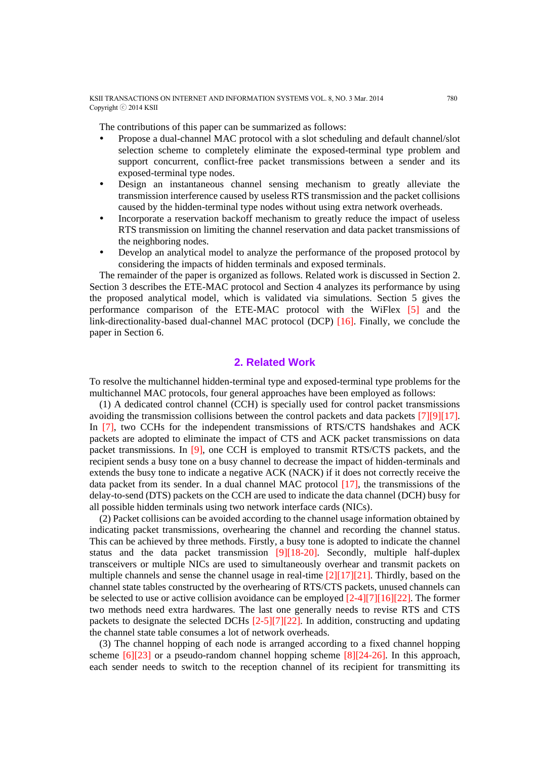The contributions of this paper can be summarized as follows:

- Propose a dual-channel MAC protocol with a slot scheduling and default channel/slot selection scheme to completely eliminate the exposed-terminal type problem and support concurrent, conflict-free packet transmissions between a sender and its exposed-terminal type nodes.
- Design an instantaneous channel sensing mechanism to greatly alleviate the transmission interference caused by useless RTS transmission and the packet collisions caused by the hidden-terminal type nodes without using extra network overheads.
- Incorporate a reservation backoff mechanism to greatly reduce the impact of useless RTS transmission on limiting the channel reservation and data packet transmissions of the neighboring nodes.
- Develop an analytical model to analyze the performance of the proposed protocol by considering the impacts of hidden terminals and exposed terminals.

The remainder of the paper is organized as follows. Related work is discussed in Section 2. Section 3 describes the ETE-MAC protocol and Section 4 analyzes its performance by using the proposed analytical model, which is validated via simulations. Section 5 gives the performance comparison of the ETE-MAC protocol with the WiFlex [5] and the link-directionality-based dual-channel MAC protocol (DCP) [16]. Finally, we conclude the paper in Section 6.

# **2. Related Work**

To resolve the multichannel hidden-terminal type and exposed-terminal type problems for the multichannel MAC protocols, four general approaches have been employed as follows:

(1) A dedicated control channel (CCH) is specially used for control packet transmissions avoiding the transmission collisions between the control packets and data packets [7][9][17]. In [7], two CCHs for the independent transmissions of RTS/CTS handshakes and ACK packets are adopted to eliminate the impact of CTS and ACK packet transmissions on data packet transmissions. In [9], one CCH is employed to transmit RTS/CTS packets, and the recipient sends a busy tone on a busy channel to decrease the impact of hidden-terminals and extends the busy tone to indicate a negative ACK (NACK) if it does not correctly receive the data packet from its sender. In a dual channel MAC protocol  $[17]$ , the transmissions of the delay-to-send (DTS) packets on the CCH are used to indicate the data channel (DCH) busy for all possible hidden terminals using two network interface cards (NICs).

(2) Packet collisions can be avoided according to the channel usage information obtained by indicating packet transmissions, overhearing the channel and recording the channel status. This can be achieved by three methods. Firstly, a busy tone is adopted to indicate the channel status and the data packet transmission [9][18-20]. Secondly, multiple half-duplex transceivers or multiple NICs are used to simultaneously overhear and transmit packets on multiple channels and sense the channel usage in real-time  $[2][17][21]$ . Thirdly, based on the channel state tables constructed by the overhearing of RTS/CTS packets, unused channels can be selected to use or active collision avoidance can be employed [2-4][7][16][22]. The former two methods need extra hardwares. The last one generally needs to revise RTS and CTS packets to designate the selected DCHs  $[2-5][7][22]$ . In addition, constructing and updating the channel state table consumes a lot of network overheads.

(3) The channel hopping of each node is arranged according to a fixed channel hopping scheme [6][23] or a pseudo-random channel hopping scheme [8][24-26]. In this approach, each sender needs to switch to the reception channel of its recipient for transmitting its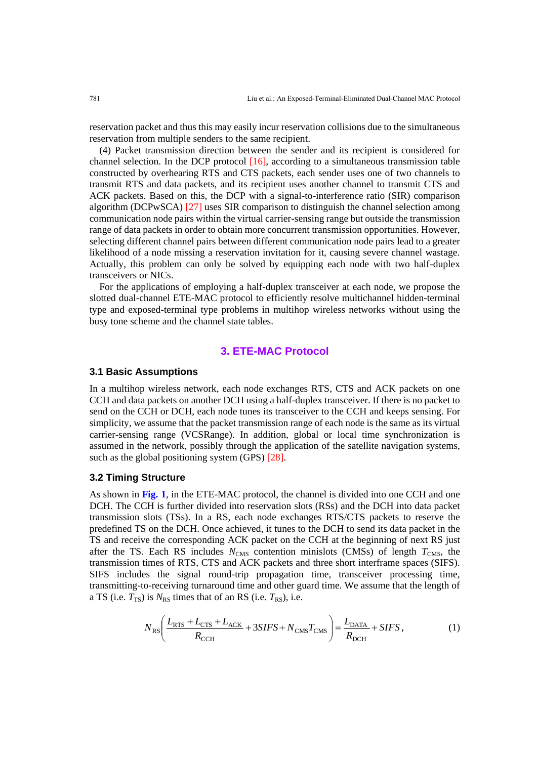reservation packet and thus this may easily incur reservation collisions due to the simultaneous reservation from multiple senders to the same recipient.

(4) Packet transmission direction between the sender and its recipient is considered for channel selection. In the DCP protocol  $[16]$ , according to a simultaneous transmission table constructed by overhearing RTS and CTS packets, each sender uses one of two channels to transmit RTS and data packets, and its recipient uses another channel to transmit CTS and ACK packets. Based on this, the DCP with a signal-to-interference ratio (SIR) comparison algorithm (DCPwSCA) [27] uses SIR comparison to distinguish the channel selection among communication node pairs within the virtual carrier-sensing range but outside the transmission range of data packets in order to obtain more concurrent transmission opportunities. However, selecting different channel pairs between different communication node pairs lead to a greater likelihood of a node missing a reservation invitation for it, causing severe channel wastage. Actually, this problem can only be solved by equipping each node with two half-duplex transceivers or NICs.

For the applications of employing a half-duplex transceiver at each node, we propose the slotted dual-channel ETE-MAC protocol to efficiently resolve multichannel hidden-terminal type and exposed-terminal type problems in multihop wireless networks without using the busy tone scheme and the channel state tables.

# **3. ETE-MAC Protocol**

## **3.1 Basic Assumptions**

In a multihop wireless network, each node exchanges RTS, CTS and ACK packets on one CCH and data packets on another DCH using a half-duplex transceiver. If there is no packet to send on the CCH or DCH, each node tunes its transceiver to the CCH and keeps sensing. For simplicity, we assume that the packet transmission range of each node is the same as its virtual carrier-sensing range (VCSRange). In addition, global or local time synchronization is assumed in the network, possibly through the application of the satellite navigation systems, such as the global positioning system (GPS) [28].

# **3.2 Timing Structure**

As shown in **Fig. 1**, in the ETE-MAC protocol, the channel is divided into one CCH and one DCH. The CCH is further divided into reservation slots (RSs) and the DCH into data packet transmission slots (TSs). In a RS, each node exchanges RTS/CTS packets to reserve the predefined TS on the DCH. Once achieved, it tunes to the DCH to send its data packet in the TS and receive the corresponding ACK packet on the CCH at the beginning of next RS just after the TS. Each RS includes  $N_{\text{CMS}}$  contention minislots (CMSs) of length  $T_{\text{CMS}}$ , the transmission times of RTS, CTS and ACK packets and three short interframe spaces (SIFS). SIFS includes the signal round-trip propagation time, transceiver processing time, transmitting-to-receiving turnaround time and other guard time. We assume that the length of a TS (i.e.  $T_{TS}$ ) is  $N_{RS}$  times that of an RS (i.e.  $T_{RS}$ ), i.e.

$$
N_{\rm RS} \left( \frac{L_{\rm RTS} + L_{\rm CTS} + L_{\rm ACK}}{R_{\rm CCH}} + 3SIFS + N_{\rm CMS} T_{\rm CMS} \right) = \frac{L_{\rm DATA}}{R_{\rm DCH}} + SIFS \,, \tag{1}
$$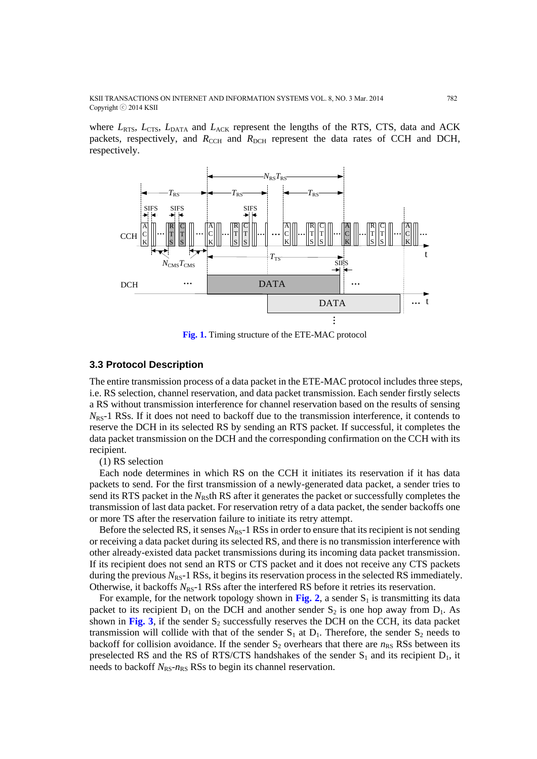KSII TRANSACTIONS ON INTERNET AND INFORMATION SYSTEMS VOL. 8, NO. 3 Mar. 2014 782 Copyright ⓒ 2014 KSII

where  $L_{RTS}$ ,  $L_{CTS}$ ,  $L_{DATA}$  and  $L_{ACK}$  represent the lengths of the RTS, CTS, data and ACK packets, respectively, and  $R_{\text{CCH}}$  and  $R_{\text{DCH}}$  represent the data rates of CCH and DCH, respectively.



**Fig. 1.** Timing structure of the ETE-MAC protocol

#### **3.3 Protocol Description**

The entire transmission process of a data packet in the ETE-MAC protocol includes three steps, i.e. RS selection, channel reservation, and data packet transmission. Each sender firstly selects a RS without transmission interference for channel reservation based on the results of sensing N<sub>RS</sub>-1 RSs. If it does not need to backoff due to the transmission interference, it contends to reserve the DCH in its selected RS by sending an RTS packet. If successful, it completes the data packet transmission on the DCH and the corresponding confirmation on the CCH with its recipient.

(1) RS selection

Each node determines in which RS on the CCH it initiates its reservation if it has data packets to send. For the first transmission of a newly-generated data packet, a sender tries to send its RTS packet in the  $N_{R5}$ th RS after it generates the packet or successfully completes the transmission of last data packet. For reservation retry of a data packet, the sender backoffs one or more TS after the reservation failure to initiate its retry attempt.

Before the selected RS, it senses  $N_{RS}$ -1 RSs in order to ensure that its recipient is not sending or receiving a data packet during its selected RS, and there is no transmission interference with other already-existed data packet transmissions during its incoming data packet transmission. If its recipient does not send an RTS or CTS packet and it does not receive any CTS packets during the previous  $N_{RS}$ -1 RSs, it begins its reservation process in the selected RS immediately. Otherwise, it backoffs *N*<sub>RS</sub>-1 RSs after the interfered RS before it retries its reservation.

For example, for the network topology shown in Fig. 2, a sender  $S_1$  is transmitting its data packet to its recipient  $D_1$  on the DCH and another sender  $S_2$  is one hop away from  $D_1$ . As shown in Fig. 3, if the sender  $S_2$  successfully reserves the DCH on the CCH, its data packet transmission will collide with that of the sender  $S_1$  at  $D_1$ . Therefore, the sender  $S_2$  needs to backoff for collision avoidance. If the sender  $S_2$  overhears that there are  $n_{RS}$  RSs between its preselected RS and the RS of RTS/CTS handshakes of the sender  $S_1$  and its recipient  $D_1$ , it needs to backoff  $N_{RS}$ - $n_{RS}$  RSs to begin its channel reservation.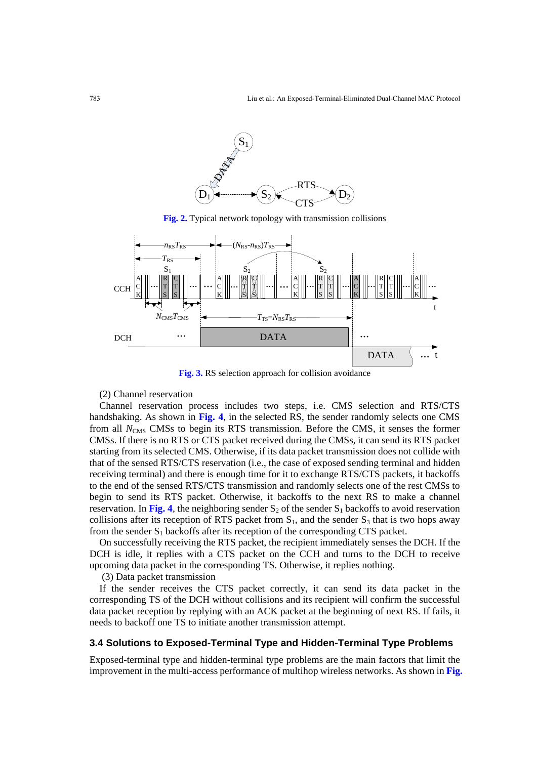

**Fig. 2.** Typical network topology with transmission collisions



**Fig. 3.** RS selection approach for collision avoidance

#### (2) Channel reservation

Channel reservation process includes two steps, i.e. CMS selection and RTS/CTS handshaking. As shown in **Fig. 4**, in the selected RS, the sender randomly selects one CMS from all *N*<sub>CMS</sub> CMSs to begin its RTS transmission. Before the CMS, it senses the former CMSs. If there is no RTS or CTS packet received during the CMSs, it can send its RTS packet starting from its selected CMS. Otherwise, if its data packet transmission does not collide with that of the sensed RTS/CTS reservation (i.e., the case of exposed sending terminal and hidden receiving terminal) and there is enough time for it to exchange RTS/CTS packets, it backoffs to the end of the sensed RTS/CTS transmission and randomly selects one of the rest CMSs to begin to send its RTS packet. Otherwise, it backoffs to the next RS to make a channel reservation. In Fig. 4, the neighboring sender  $S_2$  of the sender  $S_1$  backoffs to avoid reservation collisions after its reception of RTS packet from  $S_1$ , and the sender  $S_3$  that is two hops away from the sender  $S_1$  backoffs after its reception of the corresponding CTS packet.

On successfully receiving the RTS packet, the recipient immediately senses the DCH. If the DCH is idle, it replies with a CTS packet on the CCH and turns to the DCH to receive upcoming data packet in the corresponding TS. Otherwise, it replies nothing.

(3) Data packet transmission

If the sender receives the CTS packet correctly, it can send its data packet in the corresponding TS of the DCH without collisions and its recipient will confirm the successful data packet reception by replying with an ACK packet at the beginning of next RS. If fails, it needs to backoff one TS to initiate another transmission attempt.

#### **3.4 Solutions to Exposed-Terminal Type and Hidden-Terminal Type Problems**

Exposed-terminal type and hidden-terminal type problems are the main factors that limit the improvement in the multi-access performance of multihop wireless networks. As shown in **Fig.**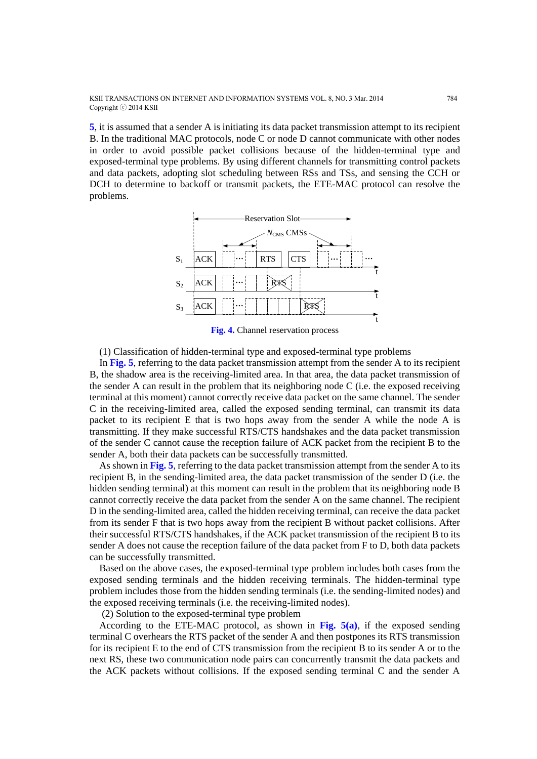KSII TRANSACTIONS ON INTERNET AND INFORMATION SYSTEMS VOL. 8, NO. 3 Mar. 2014 784 Copyright ⓒ 2014 KSII

**5**, it is assumed that a sender A is initiating its data packet transmission attempt to its recipient B. In the traditional MAC protocols, node C or node D cannot communicate with other nodes in order to avoid possible packet collisions because of the hidden-terminal type and exposed-terminal type problems. By using different channels for transmitting control packets and data packets, adopting slot scheduling between RSs and TSs, and sensing the CCH or DCH to determine to backoff or transmit packets, the ETE-MAC protocol can resolve the problems.



**Fig. 4.** Channel reservation process

(1) Classification of hidden-terminal type and exposed-terminal type problems

In **Fig. 5**, referring to the data packet transmission attempt from the sender A to its recipient B, the shadow area is the receiving-limited area. In that area, the data packet transmission of the sender A can result in the problem that its neighboring node C (i.e. the exposed receiving terminal at this moment) cannot correctly receive data packet on the same channel. The sender C in the receiving-limited area, called the exposed sending terminal, can transmit its data packet to its recipient E that is two hops away from the sender A while the node A is transmitting. If they make successful RTS/CTS handshakes and the data packet transmission of the sender C cannot cause the reception failure of ACK packet from the recipient B to the sender A, both their data packets can be successfully transmitted.

As shown in **Fig. 5**, referring to the data packet transmission attempt from the sender A to its recipient B, in the sending-limited area, the data packet transmission of the sender D (i.e. the hidden sending terminal) at this moment can result in the problem that its neighboring node B cannot correctly receive the data packet from the sender A on the same channel. The recipient D in the sending-limited area, called the hidden receiving terminal, can receive the data packet from its sender F that is two hops away from the recipient B without packet collisions. After their successful RTS/CTS handshakes, if the ACK packet transmission of the recipient B to its sender A does not cause the reception failure of the data packet from F to D, both data packets can be successfully transmitted.

Based on the above cases, the exposed-terminal type problem includes both cases from the exposed sending terminals and the hidden receiving terminals. The hidden-terminal type problem includes those from the hidden sending terminals (i.e. the sending-limited nodes) and the exposed receiving terminals (i.e. the receiving-limited nodes).

(2) Solution to the exposed-terminal type problem

According to the ETE-MAC protocol, as shown in **Fig. 5(a)**, if the exposed sending terminal C overhears the RTS packet of the sender A and then postpones its RTS transmission for its recipient E to the end of CTS transmission from the recipient B to its sender A or to the next RS, these two communication node pairs can concurrently transmit the data packets and the ACK packets without collisions. If the exposed sending terminal C and the sender A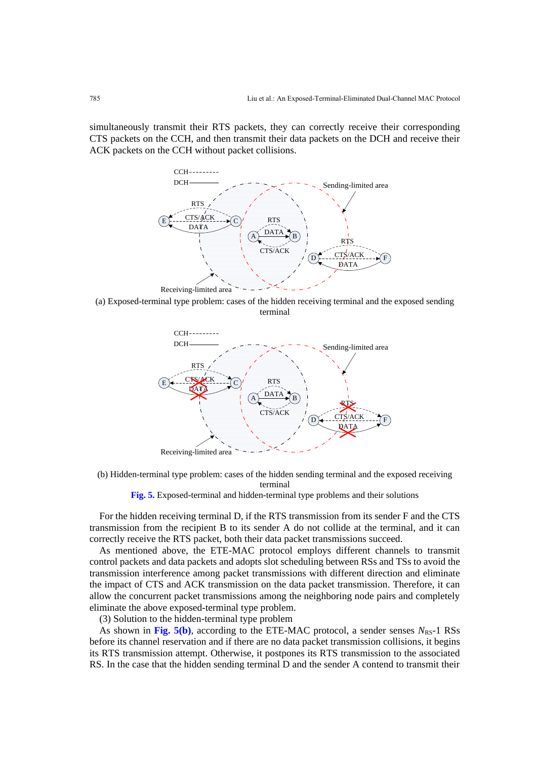simultaneously transmit their RTS packets, they can correctly receive their corresponding CTS packets on the CCH, and then transmit their data packets on the DCH and receive their ACK packets on the CCH without packet collisions.



(a) Exposed-terminal type problem: cases of the hidden receiving terminal and the exposed sending terminal



(b) Hidden-terminal type problem: cases of the hidden sending terminal and the exposed receiving terminal

**Fig. 5.** Exposed-terminal and hidden-terminal type problems and their solutions

For the hidden receiving terminal D, if the RTS transmission from its sender F and the CTS transmission from the recipient B to its sender A do not collide at the terminal, and it can correctly receive the RTS packet, both their data packet transmissions succeed.

As mentioned above, the ETE-MAC protocol employs different channels to transmit control packets and data packets and adopts slot scheduling between RSs and TSs to avoid the transmission interference among packet transmissions with different direction and eliminate the impact of CTS and ACK transmission on the data packet transmission. Therefore, it can allow the concurrent packet transmissions among the neighboring node pairs and completely eliminate the above exposed-terminal type problem.

(3) Solution to the hidden-terminal type problem

As shown in Fig.  $5(b)$ , according to the ETE-MAC protocol, a sender senses  $N_{RS}$ -1 RSs before its channel reservation and if there are no data packet transmission collisions, it begins its RTS transmission attempt. Otherwise, it postpones its RTS transmission to the associated RS. In the case that the hidden sending terminal D and the sender A contend to transmit their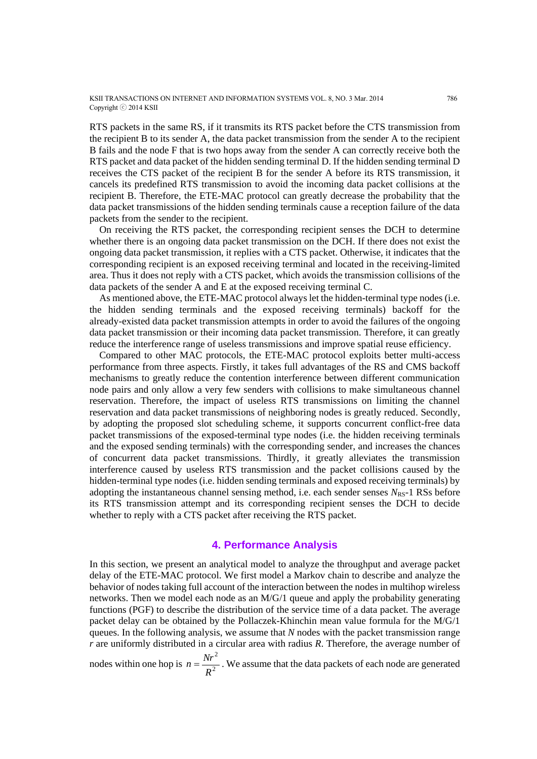KSII TRANSACTIONS ON INTERNET AND INFORMATION SYSTEMS VOL. 8, NO. 3 Mar. 2014 786 Copyright ⓒ 2014 KSII

RTS packets in the same RS, if it transmits its RTS packet before the CTS transmission from the recipient B to its sender A, the data packet transmission from the sender A to the recipient B fails and the node F that is two hops away from the sender A can correctly receive both the RTS packet and data packet of the hidden sending terminal D. If the hidden sending terminal D receives the CTS packet of the recipient B for the sender A before its RTS transmission, it cancels its predefined RTS transmission to avoid the incoming data packet collisions at the recipient B. Therefore, the ETE-MAC protocol can greatly decrease the probability that the data packet transmissions of the hidden sending terminals cause a reception failure of the data packets from the sender to the recipient.

On receiving the RTS packet, the corresponding recipient senses the DCH to determine whether there is an ongoing data packet transmission on the DCH. If there does not exist the ongoing data packet transmission, it replies with a CTS packet. Otherwise, it indicates that the corresponding recipient is an exposed receiving terminal and located in the receiving-limited area. Thus it does not reply with a CTS packet, which avoids the transmission collisions of the data packets of the sender A and E at the exposed receiving terminal C.

As mentioned above, the ETE-MAC protocol always let the hidden-terminal type nodes (i.e. the hidden sending terminals and the exposed receiving terminals) backoff for the already-existed data packet transmission attempts in order to avoid the failures of the ongoing data packet transmission or their incoming data packet transmission. Therefore, it can greatly reduce the interference range of useless transmissions and improve spatial reuse efficiency.

Compared to other MAC protocols, the ETE-MAC protocol exploits better multi-access performance from three aspects. Firstly, it takes full advantages of the RS and CMS backoff mechanisms to greatly reduce the contention interference between different communication node pairs and only allow a very few senders with collisions to make simultaneous channel reservation. Therefore, the impact of useless RTS transmissions on limiting the channel reservation and data packet transmissions of neighboring nodes is greatly reduced. Secondly, by adopting the proposed slot scheduling scheme, it supports concurrent conflict-free data packet transmissions of the exposed-terminal type nodes (i.e. the hidden receiving terminals and the exposed sending terminals) with the corresponding sender, and increases the chances of concurrent data packet transmissions. Thirdly, it greatly alleviates the transmission interference caused by useless RTS transmission and the packet collisions caused by the hidden-terminal type nodes (i.e. hidden sending terminals and exposed receiving terminals) by adopting the instantaneous channel sensing method, i.e. each sender senses  $N_{RS}$ -1 RSs before its RTS transmission attempt and its corresponding recipient senses the DCH to decide whether to reply with a CTS packet after receiving the RTS packet.

#### **4. Performance Analysis**

In this section, we present an analytical model to analyze the throughput and average packet delay of the ETE-MAC protocol. We first model a Markov chain to describe and analyze the behavior of nodes taking full account of the interaction between the nodes in multihop wireless networks. Then we model each node as an M/G/1 queue and apply the probability generating functions (PGF) to describe the distribution of the service time of a data packet. The average packet delay can be obtained by the Pollaczek-Khinchin mean value formula for the M/G/1 queues. In the following analysis, we assume that *N* nodes with the packet transmission range *r* are uniformly distributed in a circular area with radius *R*. Therefore, the average number of

nodes within one hop is  $n = \frac{1}{R^2}$ 2 *R*  $n = \frac{Nr^2}{r^2}$ . We assume that the data packets of each node are generated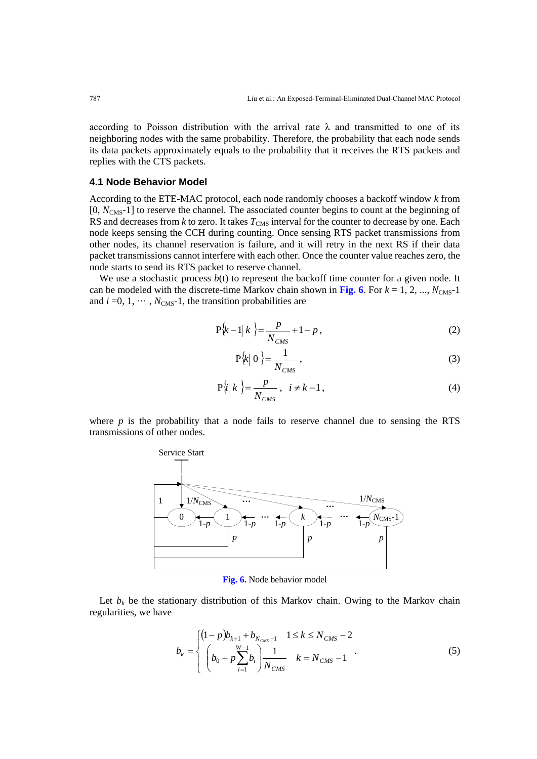according to Poisson distribution with the arrival rate  $\lambda$  and transmitted to one of its neighboring nodes with the same probability. Therefore, the probability that each node sends its data packets approximately equals to the probability that it receives the RTS packets and replies with the CTS packets.

#### **4.1 Node Behavior Model**

According to the ETE-MAC protocol, each node randomly chooses a backoff window *k* from [0,  $N_{\text{CMS}}$ -1] to reserve the channel. The associated counter begins to count at the beginning of RS and decreases from  $k$  to zero. It takes  $T_{\text{CMS}}$  interval for the counter to decrease by one. Each node keeps sensing the CCH during counting. Once sensing RTS packet transmissions from other nodes, its channel reservation is failure, and it will retry in the next RS if their data packet transmissions cannot interfere with each other. Once the counter value reaches zero, the node starts to send its RTS packet to reserve channel.

We use a stochastic process  $b(t)$  to represent the backoff time counter for a given node. It can be modeled with the discrete-time Markov chain shown in Fig. 6. For  $k = 1, 2, ..., N_{CMS}$ -1 and  $i = 0, 1, \dots, N_{\text{CMS}}-1$ , the transition probabilities are

$$
P\{k-1|k\} = \frac{p}{N_{CMS}} + 1 - p,
$$
\n(2)

$$
P\{k \mid 0\} = \frac{1}{N_{CMS}}\,,\tag{3}
$$

$$
P\{i|k\} = \frac{p}{N_{CMS}} , i \neq k - 1 , \qquad (4)
$$

where  $p$  is the probability that a node fails to reserve channel due to sensing the RTS transmissions of other nodes.



**Fig. 6.** Node behavior model

Let  $b_k$  be the stationary distribution of this Markov chain. Owing to the Markov chain regularities, we have

$$
b_k = \begin{cases} (1-p)b_{k+1} + b_{N_{CMS}-1} & 1 \le k \le N_{CMS}-2\\ \left(b_0 + p\sum_{i=1}^{W-1} b_i\right) \frac{1}{N_{CMS}} & k = N_{CMS}-1 \end{cases}
$$
(5)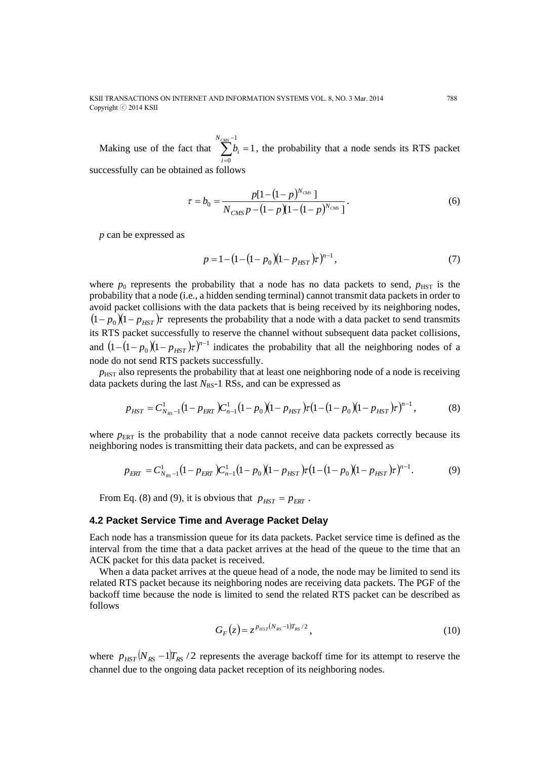#### KSII TRANSACTIONS ON INTERNET AND INFORMATION SYSTEMS VOL. 8, NO. 3 Mar. 2014 788 Copyright ⓒ 2014 KSII

Making use of the fact that  $\sum b_i = 1$ 1  $\sum_{i=0}^{c_{\mathit{MS}}-1} b^{\vphantom{\dagger}}_i =$ = *NCMS i*  $b_i = 1$ , the probability that a node sends its RTS packet successfully can be obtained as follows

> $(1-p)^{2}$  $(1-p) [1 - (1-p)^{N_{CMS}}]$  $[1 \!-\! (1 \!-\! p)^{\scriptscriptstyle N_{\scriptscriptstyle C\!M\!S}}]$  $\overline{N} = \frac{n}{(1 - n)1 - (1 - n)^{N_{CMS}}}$ *CMS N CMS N*  $N_{CMS} p - (1-p)(1-(1-p))$  $b_0 = \frac{p[1-(1-p))}{(p+1)(p+1)}$  $-(1-p)[1-(1 \tau = b_0 = \frac{p[1 - (1 - p)^{N_{CMS}}]}{(b)}$  (6)

*p* can be expressed as

$$
p = 1 - (1 - (1 - p_0)(1 - p_{HST})\tau)^{n-1},
$$
\n(7)

where  $p_0$  represents the probability that a node has no data packets to send,  $p_{HST}$  is the probability that a node (i.e., a hidden sending terminal) cannot transmit data packets in order to avoid packet collisions with the data packets that is being received by its neighboring nodes,  $(1-p_0)(1-p_{HST})$  *r* represents the probability that a node with a data packet to send transmits its RTS packet successfully to reserve the channel without subsequent data packet collisions, and  $(1-(1-p_0)(1-p_{HST})\tau)^{n-1}$  indicates the probability that all the neighboring nodes of a node do not send RTS packets successfully.

 $p<sub>HST</sub>$  also represents the probability that at least one neighboring node of a node is receiving data packets during the last *N*<sub>RS</sub>-1 RSs, and can be expressed as

$$
p_{HST} = C_{N_{RS}-1}^1 (1 - p_{ERT}) C_{n-1}^1 (1 - p_0) (1 - p_{HST}) \tau (1 - (1 - p_0) (1 - p_{HST}) \tau)^{n-1},
$$
(8)

where  $p_{ERT}$  is the probability that a node cannot receive data packets correctly because its neighboring nodes is transmitting their data packets, and can be expressed as

$$
p_{ERT} = C_{N_{RS}-1}^{1} (1 - p_{ERT}) C_{n-1}^{1} (1 - p_{0}) (1 - p_{HST}) \tau (1 - (1 - p_{0}) (1 - p_{HST}) \tau)^{n-1}.
$$
 (9)

From Eq. (8) and (9), it is obvious that  $p_{HST} = p_{ERT}$ .

#### **4.2 Packet Service Time and Average Packet Delay**

Each node has a transmission queue for its data packets. Packet service time is defined as the interval from the time that a data packet arrives at the head of the queue to the time that an ACK packet for this data packet is received.

When a data packet arrives at the queue head of a node, the node may be limited to send its related RTS packet because its neighboring nodes are receiving data packets. The PGF of the backoff time because the node is limited to send the related RTS packet can be described as follows

$$
G_F(z) = z^{p_{HST}(N_{RS}-1)T_{RS}/2},
$$
\n(10)

where  $p_{HST}$   $(N_{RS} - 1)T_{RS}$  /2 represents the average backoff time for its attempt to reserve the channel due to the ongoing data packet reception of its neighboring nodes.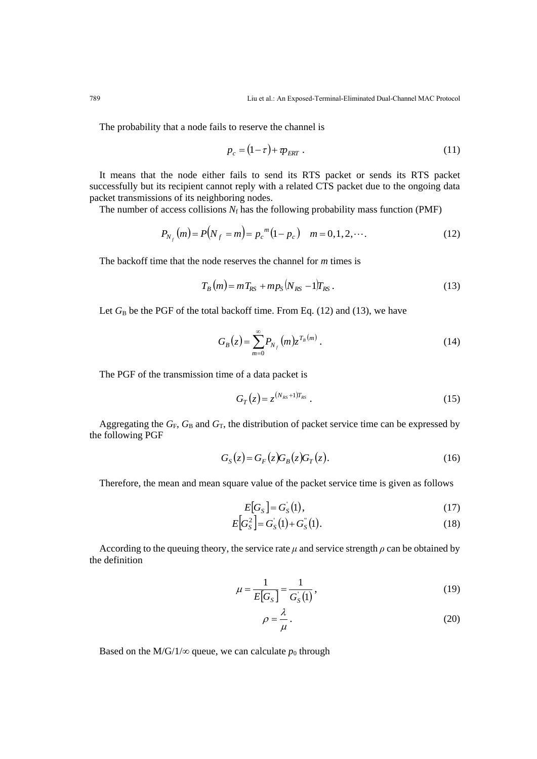The probability that a node fails to reserve the channel is

$$
p_c = (1 - \tau) + \mathcal{p}_{ERT} \tag{11}
$$

It means that the node either fails to send its RTS packet or sends its RTS packet successfully but its recipient cannot reply with a related CTS packet due to the ongoing data packet transmissions of its neighboring nodes.

The number of access collisions  $N_f$  has the following probability mass function (PMF)

$$
P_{N_f}(m) = P(N_f = m) = p_c^{m} (1 - p_c) \quad m = 0, 1, 2, \cdots.
$$
 (12)

The backoff time that the node reserves the channel for *m* times is

$$
T_B(m) = mT_{RS} + mp_S(N_{RS} - 1)T_{RS}.
$$
\n(13)

Let  $G_B$  be the PGF of the total backoff time. From Eq. (12) and (13), we have

$$
G_B(z) = \sum_{m=0}^{\infty} P_{N_f}(m) z^{T_B(m)}.
$$
 (14)

The PGF of the transmission time of a data packet is

$$
G_T(z) = z^{(N_{RS}+1)T_{RS}}.
$$
\n(15)

Aggregating the  $G_F$ ,  $G_B$  and  $G_T$ , the distribution of packet service time can be expressed by the following PGF

$$
G_{S}(z) = G_{F}(z)G_{B}(z)G_{T}(z). \qquad (16)
$$

Therefore, the mean and mean square value of the packet service time is given as follows

$$
E[GS] = GS(1),
$$
\n(17)

$$
E[G_S^2] = G_S(1) + G_S(1). \tag{18}
$$

According to the queuing theory, the service rate  $\mu$  and service strength  $\rho$  can be obtained by the definition

$$
\mu = \frac{1}{E[G_S]} = \frac{1}{G_S(1)},
$$
\n(19)

$$
\rho = \frac{\lambda}{\mu} \,. \tag{20}
$$

Based on the M/G/1/ $\infty$  queue, we can calculate  $p_0$  through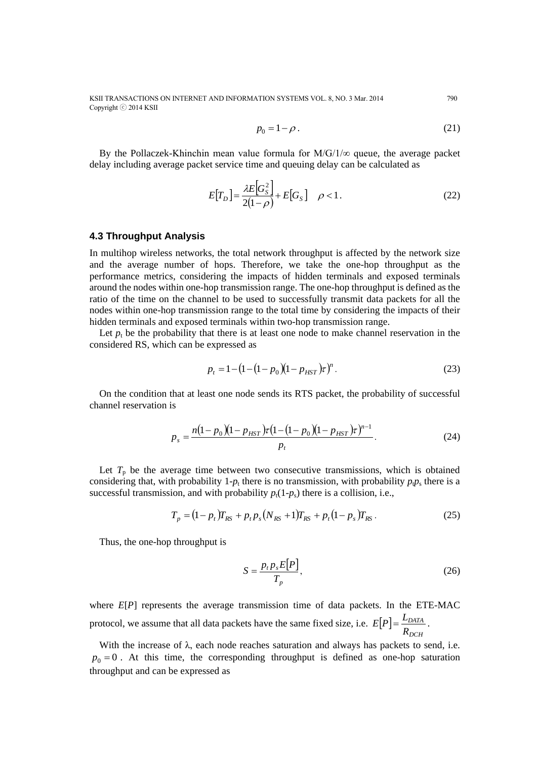KSII TRANSACTIONS ON INTERNET AND INFORMATION SYSTEMS VOL. 8, NO. 3 Mar. 2014 790 Copyright ⓒ 2014 KSII

$$
p_0 = 1 - \rho. \tag{21}
$$

By the Pollaczek-Khinchin mean value formula for  $M/G/1/\infty$  queue, the average packet delay including average packet service time and queuing delay can be calculated as

$$
E[T_D] = \frac{\lambda E[G_S^2]}{2(1-\rho)} + E[G_S] \quad \rho < 1. \tag{22}
$$

# **4.3 Throughput Analysis**

In multihop wireless networks, the total network throughput is affected by the network size and the average number of hops. Therefore, we take the one-hop throughput as the performance metrics, considering the impacts of hidden terminals and exposed terminals around the nodes within one-hop transmission range. The one-hop throughput is defined as the ratio of the time on the channel to be used to successfully transmit data packets for all the nodes within one-hop transmission range to the total time by considering the impacts of their hidden terminals and exposed terminals within two-hop transmission range.

Let  $p_t$  be the probability that there is at least one node to make channel reservation in the considered RS, which can be expressed as

$$
p_t = 1 - (1 - (1 - p_0)(1 - p_{HST})\tau)^n.
$$
 (23)

On the condition that at least one node sends its RTS packet, the probability of successful channel reservation is

$$
p_s = \frac{n(1 - p_0)(1 - p_{HST})\tau (1 - (1 - p_0)(1 - p_{HST})\tau)^{n-1}}{p_t}.
$$
 (24)

Let  $T_p$  be the average time between two consecutive transmissions, which is obtained considering that, with probability  $1-p_t$  there is no transmission, with probability  $p_t p_s$  there is a successful transmission, and with probability  $p_t(1-p_s)$  there is a collision, i.e.,

$$
T_p = (1 - p_t)T_{RS} + p_t p_s (N_{RS} + 1)T_{RS} + p_t (1 - p_s)T_{RS}.
$$
 (25)

Thus, the one-hop throughput is

$$
S = \frac{p_t p_s E[P]}{T_p},\tag{26}
$$

where  $E[P]$  represents the average transmission time of data packets. In the ETE-MAC protocol, we assume that all data packets have the same fixed size, i.e.  $E[P]$ *DCH DATA R*  $E[P] = \frac{L_{DATA}}{R}$ .

With the increase of  $\lambda$ , each node reaches saturation and always has packets to send, i.e.  $p_0 = 0$ . At this time, the corresponding throughput is defined as one-hop saturation throughput and can be expressed as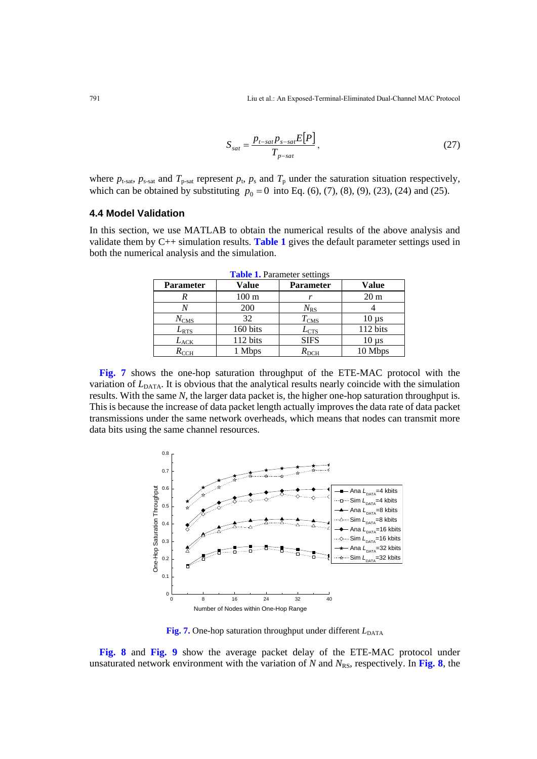$$
S_{sat} = \frac{p_{t-sat}p_{s-sat}E[P]}{T_{p-sat}},
$$
\n(27)

where  $p_{t-sat}$ ,  $p_{s-sat}$  and  $T_{p-sat}$  represent  $p_t$ ,  $p_s$  and  $T_p$  under the saturation situation respectively, which can be obtained by substituting  $p_0 = 0$  into Eq. (6), (7), (8), (9), (23), (24) and (25).

## **4.4 Model Validation**

In this section, we use MATLAB to obtain the numerical results of the above analysis and validate them by C++ simulation results. **Table 1** gives the default parameter settings used in both the numerical analysis and the simulation.

| <b>Parameter</b> | Value           | <b>Parameter</b>           | Value                         |
|------------------|-----------------|----------------------------|-------------------------------|
|                  | $100 \text{ m}$ | $\mathbf{r}$               | 20 <sub>m</sub>               |
|                  | 200             | $N_{\rm RS}$               |                               |
| $N_{\rm CMS}$    | 32              | $T_{\rm CMS}$              | $10 \mu s$                    |
| $L_{\rm RTS}$    | 160 bits        | $\mathcal{L}_{\text{CTS}}$ | 112 bits                      |
| $L_{\rm ACK}$    | 112 bits        | <b>SIFS</b>                | $10 \,\mathrm{u}\,\mathrm{s}$ |
| $R_{\text{CCH}}$ | <b>Mbps</b>     | $R_{\rm DCH}$              | 10 Mbps                       |

**Table 1.** Parameter settings

**Fig. 7** shows the one-hop saturation throughput of the ETE-MAC protocol with the variation of  $L<sub>DATA</sub>$ . It is obvious that the analytical results nearly coincide with the simulation results. With the same *N*, the larger data packet is, the higher one-hop saturation throughput is. This is because the increase of data packet length actually improves the data rate of data packet transmissions under the same network overheads, which means that nodes can transmit more data bits using the same channel resources.



Fig. 7. One-hop saturation throughput under different  $L_{\text{DATA}}$ 

**Fig. 8** and **Fig. 9** show the average packet delay of the ETE-MAC protocol under unsaturated network environment with the variation of  $N$  and  $N_{RS}$ , respectively. In Fig. 8, the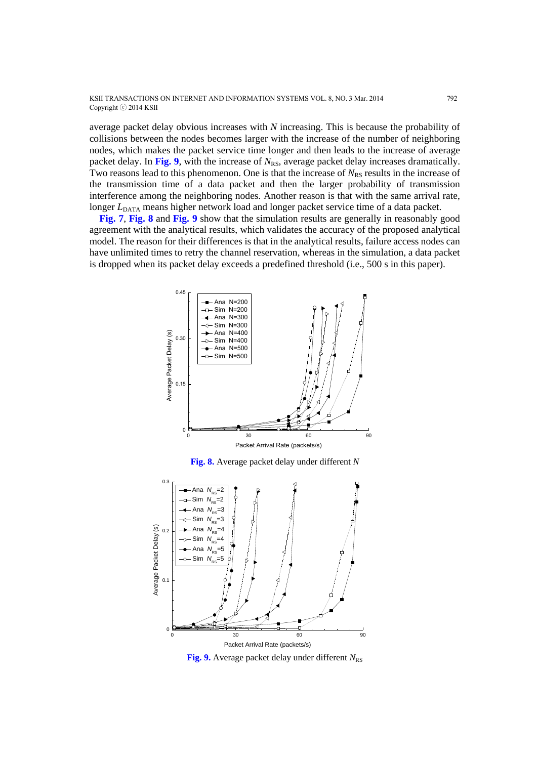KSII TRANSACTIONS ON INTERNET AND INFORMATION SYSTEMS VOL. 8, NO. 3 Mar. 2014 792 Copyright ⓒ 2014 KSII

average packet delay obvious increases with *N* increasing. This is because the probability of collisions between the nodes becomes larger with the increase of the number of neighboring nodes, which makes the packet service time longer and then leads to the increase of average packet delay. In Fig. 9, with the increase of  $N_{RS}$ , average packet delay increases dramatically. Two reasons lead to this phenomenon. One is that the increase of  $N_{RS}$  results in the increase of the transmission time of a data packet and then the larger probability of transmission interference among the neighboring nodes. Another reason is that with the same arrival rate, longer *L*<sub>DATA</sub> means higher network load and longer packet service time of a data packet.

**Fig. 7**, **Fig. 8** and **Fig. 9** show that the simulation results are generally in reasonably good agreement with the analytical results, which validates the accuracy of the proposed analytical model. The reason for their differences is that in the analytical results, failure access nodes can have unlimited times to retry the channel reservation, whereas in the simulation, a data packet is dropped when its packet delay exceeds a predefined threshold (i.e., 500 s in this paper).



**Fig. 8.** Average packet delay under different *N*



**Fig. 9.** Average packet delay under different  $N_{RS}$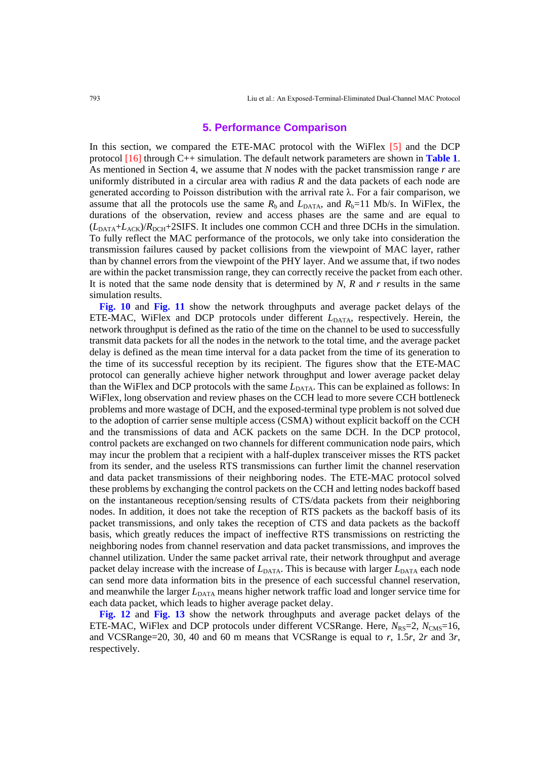# **5. Performance Comparison**

In this section, we compared the ETE-MAC protocol with the WiFlex [5] and the DCP protocol [16] through C++ simulation. The default network parameters are shown in **Table 1**. As mentioned in Section 4, we assume that *N* nodes with the packet transmission range *r* are uniformly distributed in a circular area with radius *R* and the data packets of each node are generated according to Poisson distribution with the arrival rate λ. For a fair comparison, we assume that all the protocols use the same  $R_b$  and  $L_{DATA}$ , and  $R_b=11$  Mb/s. In WiFlex, the durations of the observation, review and access phases are the same and are equal to  $(L_{\text{DATA}}+L_{\text{ACK}})/R_{\text{DCH}}+2\text{SIFS}$ . It includes one common CCH and three DCHs in the simulation. To fully reflect the MAC performance of the protocols, we only take into consideration the transmission failures caused by packet collisions from the viewpoint of MAC layer, rather than by channel errors from the viewpoint of the PHY layer. And we assume that, if two nodes are within the packet transmission range, they can correctly receive the packet from each other. It is noted that the same node density that is determined by *N*, *R* and *r* results in the same simulation results.

**Fig. 10** and **Fig. 11** show the network throughputs and average packet delays of the ETE-MAC, WiFlex and DCP protocols under different  $L_{\text{DATA}}$ , respectively. Herein, the network throughput is defined as the ratio of the time on the channel to be used to successfully transmit data packets for all the nodes in the network to the total time, and the average packet delay is defined as the mean time interval for a data packet from the time of its generation to the time of its successful reception by its recipient. The figures show that the ETE-MAC protocol can generally achieve higher network throughput and lower average packet delay than the WiFlex and DCP protocols with the same  $L_{\text{DATA}}$ . This can be explained as follows: In WiFlex, long observation and review phases on the CCH lead to more severe CCH bottleneck problems and more wastage of DCH, and the exposed-terminal type problem is not solved due to the adoption of carrier sense multiple access (CSMA) without explicit backoff on the CCH and the transmissions of data and ACK packets on the same DCH. In the DCP protocol, control packets are exchanged on two channels for different communication node pairs, which may incur the problem that a recipient with a half-duplex transceiver misses the RTS packet from its sender, and the useless RTS transmissions can further limit the channel reservation and data packet transmissions of their neighboring nodes. The ETE-MAC protocol solved these problems by exchanging the control packets on the CCH and letting nodes backoff based on the instantaneous reception/sensing results of CTS/data packets from their neighboring nodes. In addition, it does not take the reception of RTS packets as the backoff basis of its packet transmissions, and only takes the reception of CTS and data packets as the backoff basis, which greatly reduces the impact of ineffective RTS transmissions on restricting the neighboring nodes from channel reservation and data packet transmissions, and improves the channel utilization. Under the same packet arrival rate, their network throughput and average packet delay increase with the increase of *L*<sub>DATA</sub>. This is because with larger *L*<sub>DATA</sub> each node can send more data information bits in the presence of each successful channel reservation, and meanwhile the larger  $L_{\text{DATA}}$  means higher network traffic load and longer service time for each data packet, which leads to higher average packet delay.

**Fig. 12** and **Fig. 13** show the network throughputs and average packet delays of the ETE-MAC, WiFlex and DCP protocols under different VCSRange. Here,  $N_{RS}=2$ ,  $N_{CMS}=16$ , and VCSRange=20, 30, 40 and 60 m means that VCSRange is equal to *r*, 1.5*r*, 2*r* and 3*r*, respectively.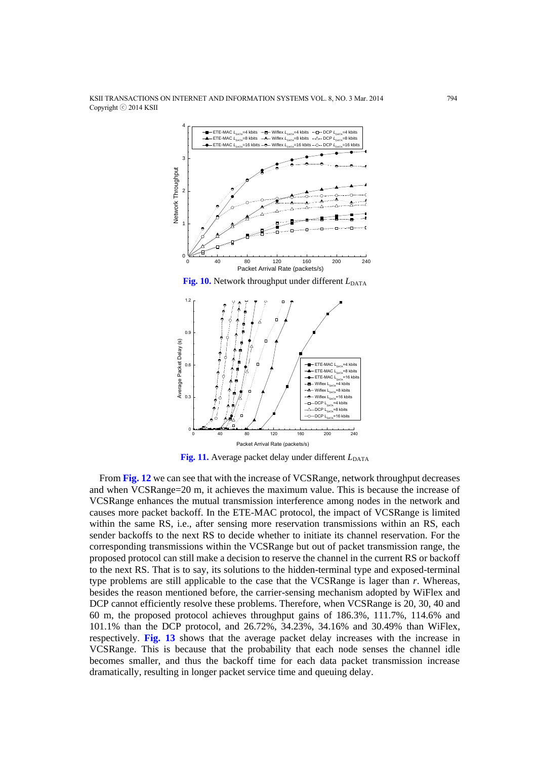

**Fig. 11.** Average packet delay under different  $L_{\text{DATA}}$ 

From **Fig. 12** we can see that with the increase of VCSRange, network throughput decreases and when VCSRange=20 m, it achieves the maximum value. This is because the increase of VCSRange enhances the mutual transmission interference among nodes in the network and causes more packet backoff. In the ETE-MAC protocol, the impact of VCSRange is limited within the same RS, i.e., after sensing more reservation transmissions within an RS, each sender backoffs to the next RS to decide whether to initiate its channel reservation. For the corresponding transmissions within the VCSRange but out of packet transmission range, the proposed protocol can still make a decision to reserve the channel in the current RS or backoff to the next RS. That is to say, its solutions to the hidden-terminal type and exposed-terminal type problems are still applicable to the case that the VCSRange is lager than *r*. Whereas, besides the reason mentioned before, the carrier-sensing mechanism adopted by WiFlex and DCP cannot efficiently resolve these problems. Therefore, when VCSRange is 20, 30, 40 and 60 m, the proposed protocol achieves throughput gains of 186.3%, 111.7%, 114.6% and 101.1% than the DCP protocol, and 26.72%, 34.23%, 34.16% and 30.49% than WiFlex, respectively. **Fig. 13** shows that the average packet delay increases with the increase in VCSRange. This is because that the probability that each node senses the channel idle becomes smaller, and thus the backoff time for each data packet transmission increase dramatically, resulting in longer packet service time and queuing delay.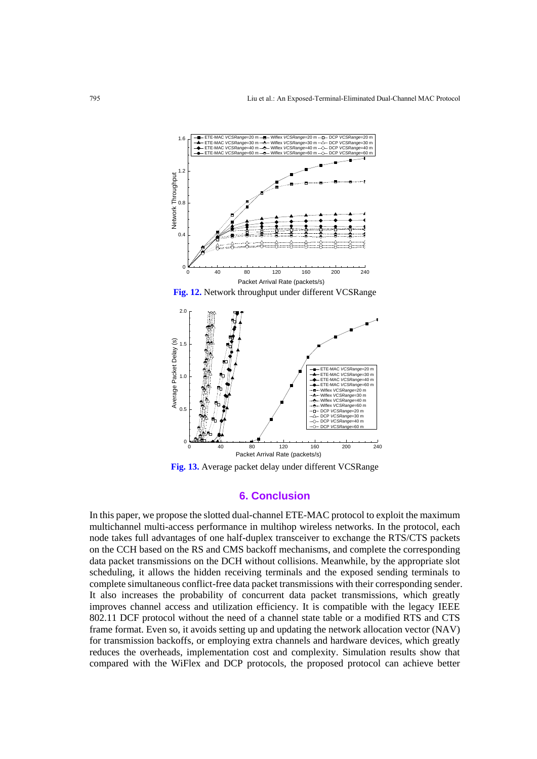



**Fig. 13.** Average packet delay under different VCSRange

#### **6. Conclusion**

In this paper, we propose the slotted dual-channel ETE-MAC protocol to exploit the maximum multichannel multi-access performance in multihop wireless networks. In the protocol, each node takes full advantages of one half-duplex transceiver to exchange the RTS/CTS packets on the CCH based on the RS and CMS backoff mechanisms, and complete the corresponding data packet transmissions on the DCH without collisions. Meanwhile, by the appropriate slot scheduling, it allows the hidden receiving terminals and the exposed sending terminals to complete simultaneous conflict-free data packet transmissions with their corresponding sender. It also increases the probability of concurrent data packet transmissions, which greatly improves channel access and utilization efficiency. It is compatible with the legacy IEEE 802.11 DCF protocol without the need of a channel state table or a modified RTS and CTS frame format. Even so, it avoids setting up and updating the network allocation vector (NAV) for transmission backoffs, or employing extra channels and hardware devices, which greatly reduces the overheads, implementation cost and complexity. Simulation results show that compared with the WiFlex and DCP protocols, the proposed protocol can achieve better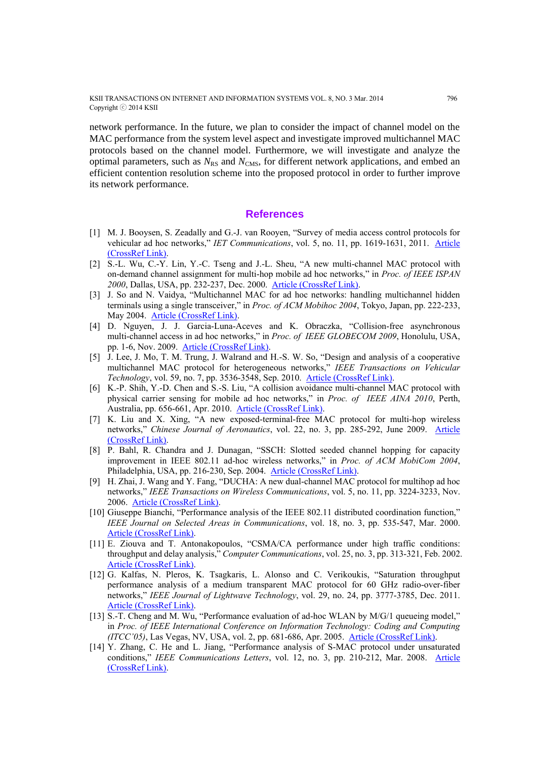network performance. In the future, we plan to consider the impact of channel model on the MAC performance from the system level aspect and investigate improved multichannel MAC protocols based on the channel model. Furthermore, we will investigate and analyze the optimal parameters, such as  $N_{RS}$  and  $N_{CMS}$ , for different network applications, and embed an efficient contention resolution scheme into the proposed protocol in order to further improve its network performance.

#### **References**

- [1] M. J. Booysen, S. Zeadally and G.-J. van Rooyen, "Survey of media access control protocols for vehicular ad hoc networks," *IET Communications*, vol. 5, no. 11, pp. 1619-1631, 2011. [Article](http://dx.doi.org/10.1049/iet-com.2011.0085)  [\(CrossRef Link\).](http://dx.doi.org/10.1049/iet-com.2011.0085)
- [2] S.-L. Wu, C.-Y. Lin, Y.-C. Tseng and J.-L. Sheu, "A new multi-channel MAC protocol with on-demand channel assignment for multi-hop mobile ad hoc networks," in *Proc. of IEEE ISPAN*  2000, Dallas, USA, pp. 232-237, Dec. 2000. **Article (CrossRef Link)**.
- [3] J. So and N. Vaidya, "Multichannel MAC for ad hoc networks: handling multichannel hidden terminals using a single transceiver," in *Proc. of ACM Mobihoc 2004*, Tokyo, Japan, pp. 222-233, May 2004. [Article \(CrossRef Link\).](http://dl.acm.org/citation.cfm?id=989487)
- [4] D. Nguyen, J. J. Garcia-Luna-Aceves and K. Obraczka, "Collision-free asynchronous multi-channel access in ad hoc networks," in *Proc. of IEEE GLOBECOM 2009*, Honolulu, USA, pp. 1-6, Nov. 2009. [Article \(CrossRef Link\).](http://ieeexplore.ieee.org/xpl/login.jsp?tp=&arnumber=5425573&url=http%3A%2F%2Fieeexplore.ieee.org%2Fxpls%2Fabs_all.jsp%3Farnumber%3D5425573)
- [5] J. Lee, J. Mo, T. M. Trung, J. Walrand and H.-S. W. So, "Design and analysis of a cooperative multichannel MAC protocol for heterogeneous networks," *IEEE Transactions on Vehicular Technology*, vol. 59, no. 7, pp. 3536-3548, Sep. 2010. [Article \(CrossRef Link\).](http://dx.doi.org/10.1109/TVT.2010.2051691)
- [6] K.-P. Shih, Y.-D. Chen and S.-S. Liu, "A collision avoidance multi-channel MAC protocol with physical carrier sensing for mobile ad hoc networks," in *Proc. of IEEE AINA 2010*, Perth, Australia, pp. 656-661, Apr. 2010. [Article \(CrossRef Link\).](http://ieeexplore.ieee.org/xpl/login.jsp?tp=&arnumber=5480423&url=http%3A%2F%2Fieeexplore.ieee.org%2Fxpls%2Fabs_all.jsp%3Farnumber%3D5480423)
- [7] K. Liu and X. Xing, "A new exposed-terminal-free MAC protocol for multi-hop wireless networks," *Chinese Journal of Aeronautics*, vol. 22, no. 3, pp. 285-292, June 2009. [Article](http://dx.doi.org/10.1016/S1000-9361(08)60101-6)  [\(CrossRef Link\).](http://dx.doi.org/10.1016/S1000-9361(08)60101-6)
- [8] P. Bahl, R. Chandra and J. Dunagan, "SSCH: Slotted seeded channel hopping for capacity improvement in IEEE 802.11 ad-hoc wireless networks," in *Proc. of ACM MobiCom 2004*, Philadelphia, USA, pp. 216-230, Sep. 2004. [Article \(CrossRef Link\).](http://dl.acm.org/citation.cfm?id=1023742)
- [9] H. Zhai, J. Wang and Y. Fang, "DUCHA: A new dual-channel MAC protocol for multihop ad hoc networks," *IEEE Transactions on Wireless Communications*, vol. 5, no. 11, pp. 3224-3233, Nov. 2006. [Article \(CrossRef Link\).](http://dx.doi.org/10.1109/TWC.2006.04869)
- [10] Giuseppe Bianchi, "Performance analysis of the IEEE 802.11 distributed coordination function," *IEEE Journal on Selected Areas in Communications*, vol. 18, no. 3, pp. 535-547, Mar. 2000. [Article \(CrossRef Link\).](http://dx.doi.org/10.1109/49.840210)
- [11] E. Ziouva and T. Antonakopoulos, "CSMA/CA performance under high traffic conditions: throughput and delay analysis," *Computer Communications*, vol. 25, no. 3, pp. 313-321, Feb. 2002. [Article \(CrossRef Link\).](http://dx.doi.org/10.1016/S0140-3664(01)00369-3)
- [12] G. Kalfas, N. Pleros, K. Tsagkaris, L. Alonso and C. Verikoukis, "Saturation throughput performance analysis of a medium transparent MAC protocol for 60 GHz radio-over-fiber networks," *IEEE Journal of Lightwave Technology*, vol. 29, no. 24, pp. 3777-3785, Dec. 2011. [Article \(CrossRef Link\).](http://dx.doi.org/10.1109/JLT.2011.2172392)
- [13] S.-T. Cheng and M. Wu, "Performance evaluation of ad-hoc WLAN by M/G/1 queueing model," in *Proc. of IEEE International Conference on Information Technology: Coding and Computing (ITCC'05)*, Las Vegas, NV, USA, vol. 2, pp. 681-686, Apr. 2005. [Article \(CrossRef Link\).](http://ieeexplore.ieee.org/xpl/login.jsp?tp=&arnumber=1425223&url=http%3A%2F%2Fieeexplore.ieee.org%2Fxpls%2Fabs_all.jsp%3Farnumber%3D1425223)
- [14] Y. Zhang, C. He and L. Jiang, "Performance analysis of S-MAC protocol under unsaturated conditions," *IEEE Communications Letters*, vol. 12, no. 3, pp. 210-212, Mar. 2008. [Article](http://dx.doi.org/10.1109/LCOMM.2008.071705)  [\(CrossRef Link\).](http://dx.doi.org/10.1109/LCOMM.2008.071705)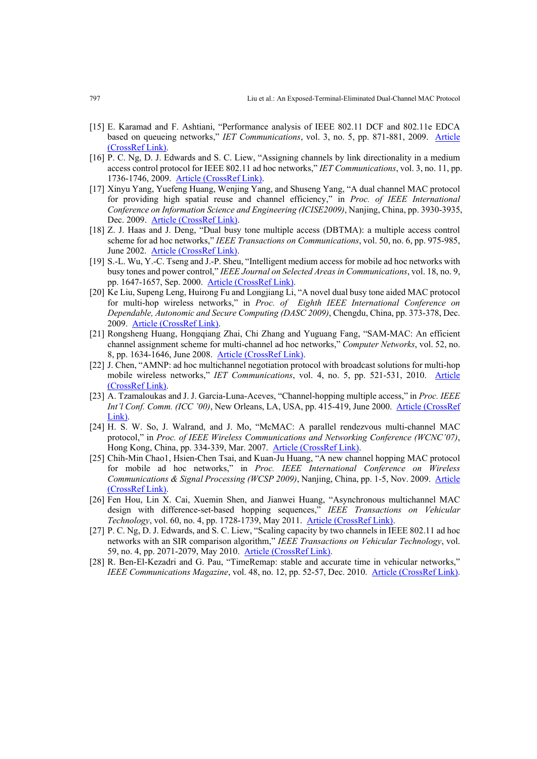- [15] E. Karamad and F. Ashtiani, "Performance analysis of IEEE 802.11 DCF and 802.11e EDCA based on queueing networks," *IET Communications*, vol. 3, no. 5, pp. 871-881, 2009. [Article](http://dx.doi.org/10.1049/iet-com.2008.0676)  [\(CrossRef Link\).](http://dx.doi.org/10.1049/iet-com.2008.0676)
- [16] P. C. Ng, D. J. Edwards and S. C. Liew, "Assigning channels by link directionality in a medium access control protocol for IEEE 802.11 ad hoc networks," *IET Communications*, vol. 3, no. 11, pp. 1736-1746, 2009. [Article \(CrossRef Link\).](http://dx.doi.org/10.1049/iet-com.2008.0522)
- [17] Xinyu Yang, Yuefeng Huang, Wenjing Yang, and Shuseng Yang, "A dual channel MAC protocol for providing high spatial reuse and channel efficiency," in *Proc. of IEEE International Conference on Information Science and Engineering (ICISE2009)*, Nanjing, China, pp. 3930-3935, Dec. 2009. [Article \(CrossRef Link\).](http://ieeexplore.ieee.org/xpl/login.jsp?tp=&arnumber=5455730&url=http%3A%2F%2Fieeexplore.ieee.org%2Fxpls%2Fabs_all.jsp%3Farnumber%3D5455730)
- [18] Z. J. Haas and J. Deng, "Dual busy tone multiple access (DBTMA): a multiple access control scheme for ad hoc networks," *IEEE Transactions on Communications*, vol. 50, no. 6, pp. 975-985, June 2002. [Article \(CrossRef Link\).](http://dx.doi.org/10.1109/TCOMM.2002.1010617)
- [19] S.-L. Wu, Y.-C. Tseng and J.-P. Sheu, "Intelligent medium access for mobile ad hoc networks with busy tones and power control," *IEEE Journal on Selected Areas in Communications*, vol. 18, no. 9, pp. 1647-1657, Sep. 2000. [Article \(CrossRef Link\).](http://dx.doi.org/10.1109/49.872953)
- [20] Ke Liu, Supeng Leng, Huirong Fu and Longjiang Li, "A novel dual busy tone aided MAC protocol for multi-hop wireless networks," in *Proc. of Eighth IEEE International Conference on Dependable, Autonomic and Secure Computing (DASC 2009)*, Chengdu, China, pp. 373-378, Dec. 2009. [Article \(CrossRef Link\).](http://dx.doi.org/10.1109/DASC.2009.20)
- [21] Rongsheng Huang, Hongqiang Zhai, Chi Zhang and Yuguang Fang, "SAM-MAC: An efficient channel assignment scheme for multi-channel ad hoc networks," *Computer Networks*, vol. 52, no. 8, pp. 1634-1646, June 2008. [Article \(CrossRef Link\).](http://dx.doi.org/10.1016/j.comnet.2008.02.004)
- [22] J. Chen, "AMNP: ad hoc multichannel negotiation protocol with broadcast solutions for multi-hop mobile wireless networks," *IET Communications*, vol. 4, no. 5, pp. 521-531, 2010. [Article](http://dx.doi.org/10.1049/iet-com.2009.0318)  [\(CrossRef Link\).](http://dx.doi.org/10.1049/iet-com.2009.0318)
- [23] A. Tzamaloukas and J. J. Garcia-Luna-Aceves, "Channel-hopping multiple access," in *Proc. IEEE Int'l Conf. Comm. (ICC '00)*, New Orleans, LA, USA, pp. 415-419, June 2000. Article (CrossRef Link)
- [24] H. S. W. So, J. Walrand, and J. Mo, "McMAC: A parallel rendezvous multi-channel MAC protocol," in *Proc. of IEEE Wireless Communications and Networking Conference (WCNC'07)*, Hong Kong, China, pp. 334-339, Mar. 2007. [Article \(CrossRef Link\).](http://ieeexplore.ieee.org/xpl/login.jsp?tp=&arnumber=4224312&url=http%3A%2F%2Fieeexplore.ieee.org%2Fxpls%2Fabs_all.jsp%3Farnumber%3D4224312)
- [25] Chih-Min Chao1, Hsien-Chen Tsai, and Kuan-Ju Huang, "A new channel hopping MAC protocol for mobile ad hoc networks," in *Proc. IEEE International Conference on Wireless Communications & Signal Processing (WCSP 2009)*, Nanjing, China, pp. 1-5, Nov. 2009. [Article](http://ieeexplore.ieee.org/xpl/login.jsp?tp=&arnumber=5371543&url=http%3A%2F%2Fieeexplore.ieee.org%2Fxpls%2Fabs_all.jsp%3Farnumber%3D5371543)  [\(CrossRef Link\).](http://ieeexplore.ieee.org/xpl/login.jsp?tp=&arnumber=5371543&url=http%3A%2F%2Fieeexplore.ieee.org%2Fxpls%2Fabs_all.jsp%3Farnumber%3D5371543)
- [26] Fen Hou, Lin X. Cai, Xuemin Shen, and Jianwei Huang, "Asynchronous multichannel MAC design with difference-set-based hopping sequences," *IEEE Transactions on Vehicular Technology*, vol. 60, no. 4, pp. 1728-1739, May 2011. [Article \(CrossRef Link\).](http://dx.doi.org/10.1109/TVT.2011.2119384)
- [27] P. C. Ng, D. J. Edwards, and S. C. Liew, "Scaling capacity by two channels in IEEE 802.11 ad hoc networks with an SIR comparison algorithm," *IEEE Transactions on Vehicular Technology*, vol. 59, no. 4, pp. 2071-2079, May 2010. [Article \(CrossRef Link\).](http://dx.doi.org/10.1109/TVT.2010.2040847)
- [28] R. Ben-El-Kezadri and G. Pau, "TimeRemap: stable and accurate time in vehicular networks," *IEEE Communications Magazine*, vol. 48, no. 12, pp. 52-57, Dec. 2010. [Article \(CrossRef Link\).](http://dx.doi.org/10.1109/MCOM.2010.5673072)